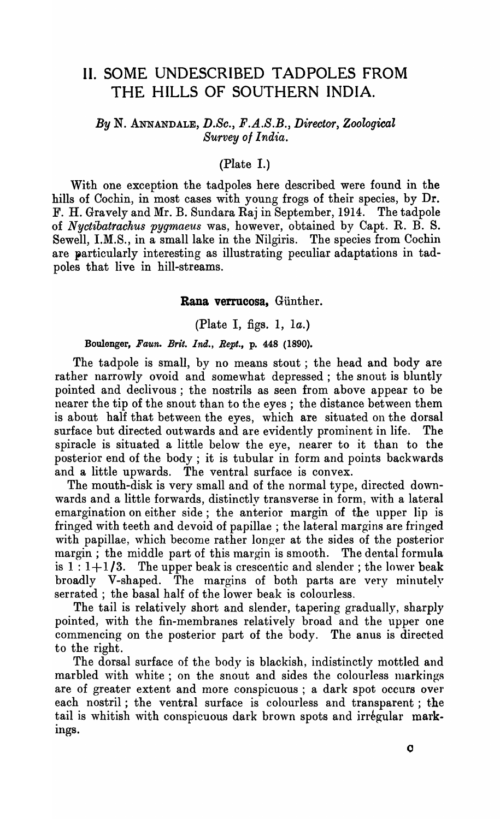# **II.** SOME UNDESCRIBED TADPOLES FROM THE HILLS OF SOUTHERN INDIA.

# *By* N. ANNANDALE, *D.Sc., F.A.S.B., Director, Zoological Survey 01 India.*

# (Plate I.)

With one exception the tadpoles here described were found in the hills of Cochin, in most cases with young frogs of their species, by Dr. F. H. Gravely and Mr. B. Sundara Raj in September, 1914. The tadpole of *Nyctibatrachus pygmaeus* was, however, obtained by Capt. R. B. S. Sewell, I.M.S., in a small lake in the Nilgiris. The species from Cochin are particularly interesting as illustrating peculiar adaptations in tadpoles that live in hill-streams.

#### Rana verrucosa, Günther.

(Plate I, figs. 1, 1a.)

Boulenger, *Faun. Brit. Ind., Rept.,* p. 448 (1890).

The tadpole is small, by no means stout; the head and body are rather narrowly ovoid and somewhat depressed; the snout is bluntly pointed and declivous; the nostrils as seen from above appear to be nearer the tip of the snout than to the eyes; the distance between them is about half that between the eyes, which are situated on the dorsal surface but directed outwards and are evidently prominent in life. The spiracle is situated a little below the eye, nearer to it than to the posterior end of the body; it is tubular in form and points backwards and a little upwards. The ventral surface is convex.

The mouth-disk is very small and of the normal type, directed downwards and a little forwards, distinctly transverse in form, with a lateral emargination on either side; the anterior margin of the upper lip is fringed with teeth and devoid of papillae; the lateral margins are fringed with papillae, which become rather longer at the sides of the posterior margin; the middle part of this margin is smooth. The dental formula is  $1:1+1/3$ . The upper beak is crescentic and slender; the lower beak broadly V-shaped. The margins of both parts are very minutely serrated; the basal half of the lower beak is colourless.

The tail is relatively short and slender, tapering gradually, sharply pointed, with the fin-membranes relatively broad and the upper one commencing on the posterior part of the body. The anus is directed to the right.

The dorsal surface of the body is blackish, indistinctly mottled and marbled with white; on the snout and sides the colourless markings are of greater extent and more conspicuous; a dark spot occurs over each nostril; the ventral surface is colourless and transparent; the tail is whitish with conspicuous dark brown spots and irregular markings.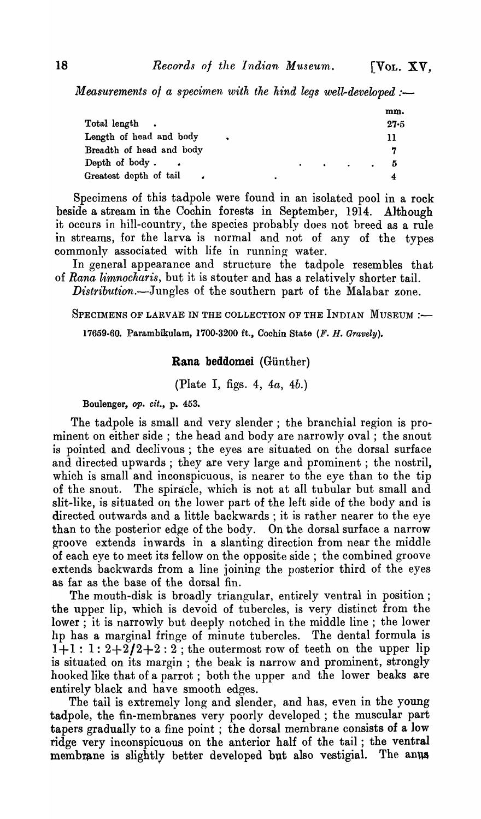*Measurements of a specimen with the hind legs well-developed :-*

|                          |   |  |                                                                                                                     | mm.      |
|--------------------------|---|--|---------------------------------------------------------------------------------------------------------------------|----------|
| Total length.            |   |  |                                                                                                                     | $27 - 5$ |
| Length of head and body  |   |  |                                                                                                                     | 11       |
| Breadth of head and body |   |  |                                                                                                                     | 7        |
| Depth of body.           |   |  | and the contract of the contract of the contract of the contract of the contract of the contract of the contract of | 5        |
| Greatest depth of tail   | ٠ |  |                                                                                                                     |          |

Specimens of this tadpole were found in an isolated pool in a rock beside a stream in the Cochin forests in September, 1914. Although it occurs in hill-country, the species probably does not breed as a rule in streams, for the larva is normal and not of any of the types commonly associated with life in running water.

In general appearance and structure the tadpole resembles that of *Rana limnocharis,* but it is stouter and has a relatively shorter tail. *Distribution.-Jungles* of the southern part of the Malabar zone.

SPECIMENS OF LARVAE IN THE COLLECTION OF THE INDIAN MUSEUM :-

17659-60. Parambikulam, 1700·3200 ft.., Cochin State *(F. H. Gravely).* 

## Rana beddomei (Günther)

(Plate I, figs. 4, *4a, 4b.)* 

# Boulanger, *Ope cit.,* p. 453.

The tadpole is small and very slender; the branchial region is prominent on either side; the head and body are narrowly oval; the snout is pointed and declivous ; the eyes are situated on the dorsal surface and directed upwards; they are very large and prominent; the nostril, which is small and inconspicuous, is nearer to the eye than to the tip of the snout. The spiracle, which is not at all tubular but small and slit-like, is situated on the lower part of the left side of the body and is directed outwards and a little backwards; it is rather nearer to the eye than to the posterior edge of the body. On the dorsal surface a narrow groove extends inwards in a slanting direction from near the middle of each eye to meet its fellow on the opposite side; the combined groove extends backwards from a line joining the posterior third of the eyes as far as the base of the dorsal fin.

The mouth-disk is broadly triangular, entirely ventral in position; the upper lip, which is devoid of tubercles, is very distinct from the lower; it is narrowly but deeply notched in the middle line; the lower IIp has a marginal fringe of minute tubercles. The dental formula is  $1+1: 1: 2+2/2+2: 2$ ; the outermost row of teeth on the upper lip is situated on its margin; the beak is narrow and prominent, strongly hooked like that of a parrot; both the upper and the lower beaks are entirely black and have smooth edges.

The tail is extremely long and slender, and has, even in the young tadpole, the fin-membranes very poorly developed; the muscular part tapers gradually to a fine point; the dorsal membrane consists of a low ridge very inconspicuous on the anterior half of the tail; the ventral membrane is slightly better developed but also vestigial. The anus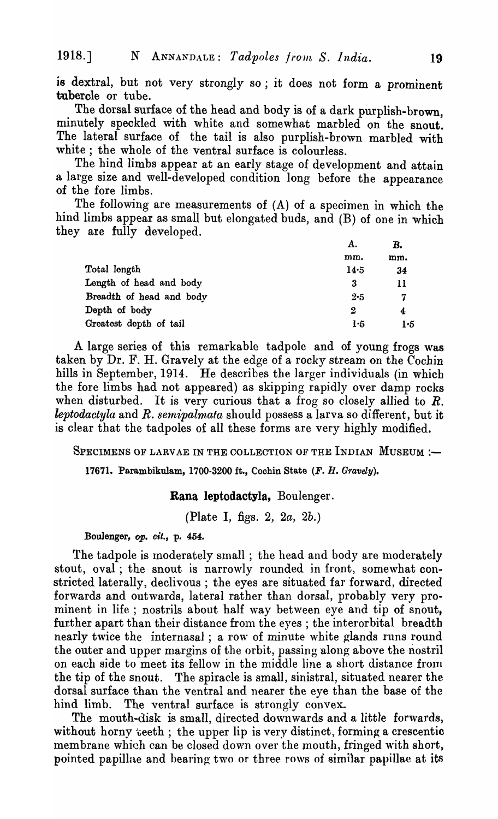is dextral, but not very strongly so; it does not form a prominent tubercle or tube.

The dorsal surface of the head and body is of a dark purplish-brown, minutely speckled with white and somewhat marbled on the snout. The lateral surface of the tail is also purplish-brown marbled with white; the whole of the ventral surface is colourless.

The hind limbs appear at an early stage of development and attain a large size and well-developed condition long before the appearance of the fore limbs.

The following are measurements of (A) of a specimen in which the hind limbs appear as small but elongated buds, and (B) of one in which they are fully developed.

|                          | А.   | B.  |  |
|--------------------------|------|-----|--|
|                          | mm.  | mm. |  |
| Total length             | 14.5 | 34  |  |
| Length of head and body  | 3    | 11  |  |
| Breadth of head and body | 2.5  | 7   |  |
| Depth of body            | 2    | 4   |  |
| Greatest depth of tail   | 1.5  | 1.5 |  |

A large series of this remarkable tadpole and of young frogs was taken by Dr. F. H. Gravely at the edge of a rocky stream on the Cochin hills in September, 1914. He describes the larger individuals (in which the fore limbs had not appeared) as skipping rapidly over damp rocks when disturbed. It is very curious that a frog so closely allied to *R. leptodactyla* and *R. semipalmata* should possess a larva so different., but it is clear that the tadpoles of all these forms are very highly modified.

SPECIMENS OF LARVAE IN THE COLLECTION OF THE INDIAN MUSEUM :-

17671. Parambikulam, 1700-3200 ft., Cochin State (F. H. Gravely).

#### Rana Ieptodactyla, Boulenger.

(Plate I, figs. 2, *2a, 2b.)* 

Boulenger, *op. cit.,* p. 454.

The tadpole is moderately small; the head and body are moderately stout, oval; the snout is narrowly rounded in front, somewhat constricted laterally, declivous ; the eyes are situated far forward, directed forwards and outwards, lateral rather than dorsal, probably very prominent in life; nostrils about half way between eye and tip of snout, further apart than their distance from the eyes; the interorbital breadth nearly twice the internasal; a row of minute white glands runs round the outer and upper margins of the orbit, passing along above the nostril on each side to meet its fellow in the middle line a short distance from the tip of the snout. The spiracle is small, sinistral, situated nearer the dorsal surface than the ventral and nearer the eye than the base of the hind limb. The ventral surface is strongly convex.

The mouth-disk is small, directed downwards and a little forwards, without horny  $\text{t}$ eeth; the upper lip is very distinct, forming a crescentic membrane which can be closed down over the mouth, fringed with short, pointed papillae and bearing two or three rows of similar papillae at its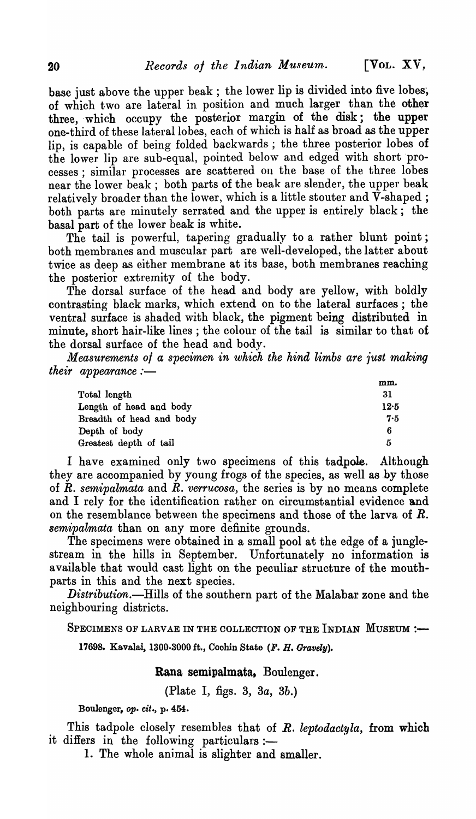base just above the upper beak; the lower lip is divided into five lobes, of which two are lateral in position and much larger than the other three, which occupy the posterior margin of the disk; the upper one-third of these lateral lobes, each of which is half as broad as the upper lip, is capable of being folded backwards; the three posterior lobes of the lower lip are sub-equal, pointed below and edged with short processes; similar processes are scattered on the base of the three lobes near the lower beak; both parts of the beak are slender, the upper beak relatively broader than the lower, which is a little stouter and V-shaped; both parts are minutely serrated and the upper is entirely black; the basal part of the lower beak is white.

The tail is powerful, tapering gradually to a rather blunt point; both membranes and muscular part are well-developed, the latter about twice as deep as either membrane at its base, both membranes reaching the posterior extremity of the body.

The dorsal surface of the head and body are yellow, with boldly contrasting black marks, which extend on to the lateral surfaces; the ventral surface is shaded with black, the pigment being distributed in minute, short hair-like lines; the colour of the tail is similar to that of the dorsal surface of the head and body.

*Measurements 01 a specimen in which the hind limbs are just making their appearance:-*

|                          | mm.  |
|--------------------------|------|
| Total length             | 31   |
| Length of head and body  | 12.5 |
| Breadth of head and body | 7.5  |
| Depth of body            | 6    |
| Greatest depth of tail   | 5    |

I have examined only two specimens of this tadpole. Although they are accompanied by young frogs of the species, as well as by those of *R. semipalmata* and *R. verrucosa,* the series is by no means complete and I rely for the identification rather on circumstantial evidence and on the resemblance between the specimens and those of the larva of *R. semipalmata* than on any more definite grounds.

The specimens were obtained in a small pool at the edge of a junglestream in the hills in September. Unfortunately no information is available that would cast light on the peculiar structure of the mouthparts in this and the next species.

*Distribution.-Hills* of the southern part of the Malabar zone and the neighbouring districts.

SPECIMENS OF LARVAE IN THE COLLECTION OF THE INDIAN MUSEUM :-

17698. Kavalai, 1300·3000 ft., Coohin State (F. H. Gravely).

Kana semipaimata, Boulenger.

(Plate I, figs. 3, *3a, 3b.)* 

Boulenger, op. cit., p. 454.

This tadpole closely resenlbles that of *R. leptodactyla,* from which it differs in the following particulars:-

1. The whole animal is slighter and smaller.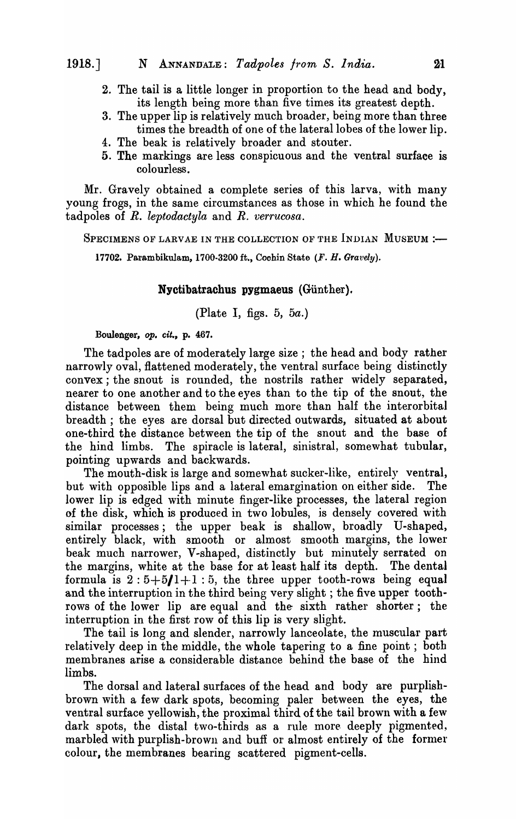- 2. The tail is a little longer in proportion to the head and body, its length being more than five times its greatest depth.
- 3. The upper lip is relatively much broader, being more than three times the breadth of one of the lateral lobes of the lower lip.
- 4. The beak is relatively broader and stouter.
- 5. The markings are less conspicuous and the ventral surface is colourless.

Mr. Gravely obtained a complete series of this larva, with many young frogs, in the same circumstances as those in which he found the tadpoles of *R. leptodactyla* and *R. verrucosa.* 

SPECIMENS OF LARVAE IN THE COLLECTION OF THE INDIAN MUSEUM :-

17702. Parambikulam, 1700·3200 ft., Cochin State (F. H. Gravely).

## Nyctibatrachus pygmaeus (Günther).

# (Plate I, figs. 5, *5a.)*

#### Boulenger, op. cit., p. 467.

The tadpoles are of moderately large size; the head and body rather narrowly oval, flattened moderately, the ventral surface being distinctly convex; the snout is rounded, the nostrils rather widely separated, nearer to one another and to the eyes than to the tip of the snout, the distance between them being much more than half the interorbital breadth; the eyes are dorsal but directed outwards, situated at about one-third the distance between the tip of the snout and the base of the hind limbs. The spiracle is lateral, sinistral, somewhat tubular, pointing upwards and backwards.

The mouth-disk is large and somewhat sucker-like, entirely ventral, but with opposible lips and a lateral emargination on either side. The lower lip is edged with minute finger-like processes, the lateral region of the disk, which is produced in two lobules, is densely covered with similar processes; the upper beak is shallow, broadly U-shaped, entirely black, with smooth or almost smooth margins, the lower beak much narrower, V-shaped, distinctly but minutely serrated on the margins, white at the base for at least half its depth. The dental formula is  $2:5+5/1+1:5$ , the three upper tooth-rows being equal and the interruption in the third being very slight; the five upper toothrows of the lower lip are equal and the sixth rather shorter; the interruption in the first row of this lip is very slight.

The tail is long and slender, narrowly lanceolate, the muscular part relatively deep in the middle, the whole tapering to a fine point; both membranes arise a considerable distance behind the base of the hind limbs.

The dorsal and lateral surfaces of the head and body are purplishbrown with a few dark spots, becoming paler between the eyes, the ventral surface yellowish, the proximal third of the tail brown with a few dark spots, the distal two-thirds as a rule more. deeply pigmented, marbled with purplish-brown and buff or almost entirely of the former colour, the membranes bearing scattered pigment-cells.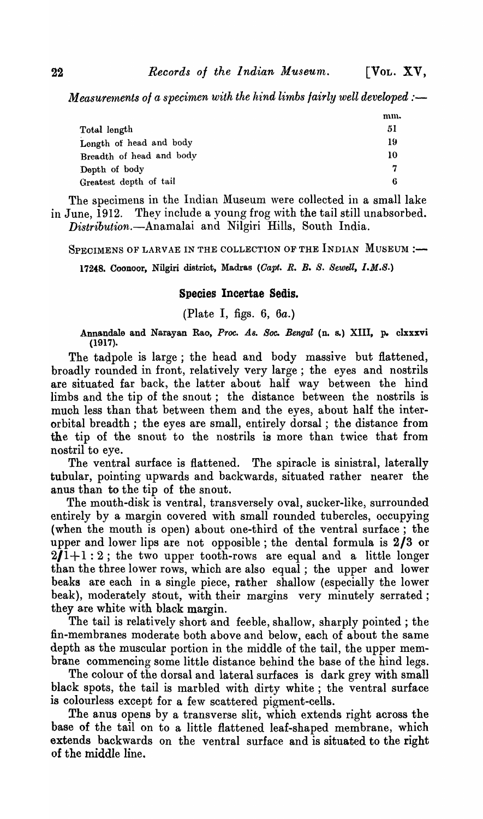*Measurements of a specimen with the hind limbs fairly well developed :—* 

|                          | mm. |
|--------------------------|-----|
| Total length             | 51  |
| Length of head and body  | 19  |
| Breadth of head and body | 10  |
| Depth of body            | 7   |
| Greatest depth of tail   | 6   |

The specimens in the Indian Museum were collected in a small lake in June, 1912. They include a young frog with the tail still unabsorbed. Distribution.-Anamalai and Nilgiri Hills, South India.

SPECIMENS OF LARVAE IN THE COLLECTION OF THE INDIAN MUSEUM :-

17248. Coonoor, Nilgiri district, Madras *(Capt. R. B. S. Sewell, I.M.S.)* 

## Species Incertae Sedis.

(Plate I, figs. 6, 6a.)

Annandale and Narayan Rao, Proc. As. Soc. Bengal (n. s.) XIII, p. clxxxvi (1917).

The tadpole is large; the head and body massive but flattened, broadly rounded in front, relatively very large; the eyes and nostrils are situated far back, the latter about half way between the hind limbs and the tip of the snout; the distance between the nostrils is much less than that between them and the eyes, about half the interorbital breadth; the eyes are small, entirely dorsal; the distance from the tip of the snout to the nostrils is more than twice that from nostril to eye.

The ventral surface is flattened. The spiracle is sinistral, laterally tubular, pointing upwards and backwards, situated rather nearer the anus than to the tip of the snout.

The mouth-disk is ventral, transversely oval, sucker-like, surrounded entirely by a margin covered with small rounded tubercles, occupying (when the mouth is open) about one-third of the ventral surface; the upper and lower lips are not opposible; the dental formula is 2/3 or  $2/1+1:2$ ; the two upper tooth-rows are equal and a little longer than the three lower rows, which are also equal; the upper and lower beaks are each in a single piece, rather shallow (especially the lower beak), moderately stout, with their margins very minutely serrated; they are white with black margin.

The tail is relatively short and feeble, shallow, sharply pointed; the fin-membranes moderate both above and below, each of about the same depth as the muscular portion in the middle of the tail, the upper membrane commencing some little distance behind the base of the hind legs.

The colour of the dorsal and lateral surfaces is dark grey with small black spots, the tail is marbled with dirty white; the ventral surface is colourless except for a few scattered pigment-cells.

The anus opens by a transverse slit, which extends right across the base of the tail on to a little flattened leaf-shaped membrane, which extends backwards on the ventral surface and is situated to the right of the middle line.